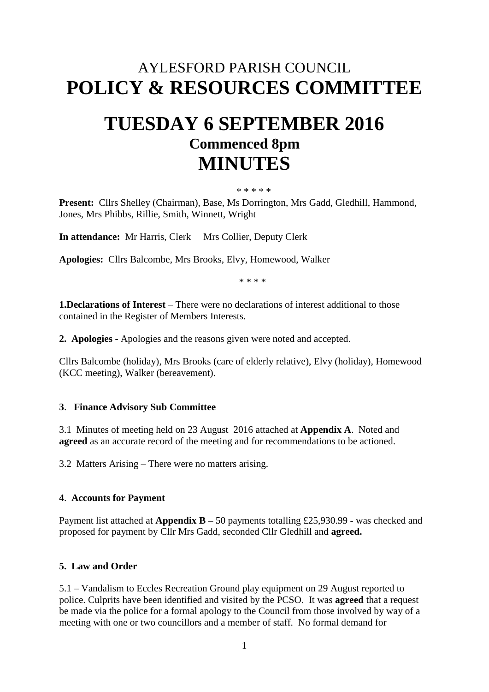## AYLESFORD PARISH COUNCIL **POLICY & RESOURCES COMMITTEE**

# **TUESDAY 6 SEPTEMBER 2016 Commenced 8pm MINUTES**

#### \* \* \* \* \*

**Present:** Cllrs Shelley (Chairman), Base, Ms Dorrington, Mrs Gadd, Gledhill, Hammond, Jones, Mrs Phibbs, Rillie, Smith, Winnett, Wright

**In attendance:** Mr Harris, Clerk Mrs Collier, Deputy Clerk

**Apologies:** Cllrs Balcombe, Mrs Brooks, Elvy, Homewood, Walker

\* \* \* \*

**1.Declarations of Interest** – There were no declarations of interest additional to those contained in the Register of Members Interests.

**2. Apologies -** Apologies and the reasons given were noted and accepted.

Cllrs Balcombe (holiday), Mrs Brooks (care of elderly relative), Elvy (holiday), Homewood (KCC meeting), Walker (bereavement).

#### **3**. **Finance Advisory Sub Committee**

3.1 Minutes of meeting held on 23 August 2016 attached at **Appendix A**. Noted and **agreed** as an accurate record of the meeting and for recommendations to be actioned.

3.2 Matters Arising – There were no matters arising.

#### **4**. **Accounts for Payment**

Payment list attached at **Appendix B –** 50 payments totalling £25,930.99 **-** was checked and proposed for payment by Cllr Mrs Gadd, seconded Cllr Gledhill and **agreed.**

#### **5. Law and Order**

5.1 – Vandalism to Eccles Recreation Ground play equipment on 29 August reported to police. Culprits have been identified and visited by the PCSO. It was **agreed** that a request be made via the police for a formal apology to the Council from those involved by way of a meeting with one or two councillors and a member of staff. No formal demand for